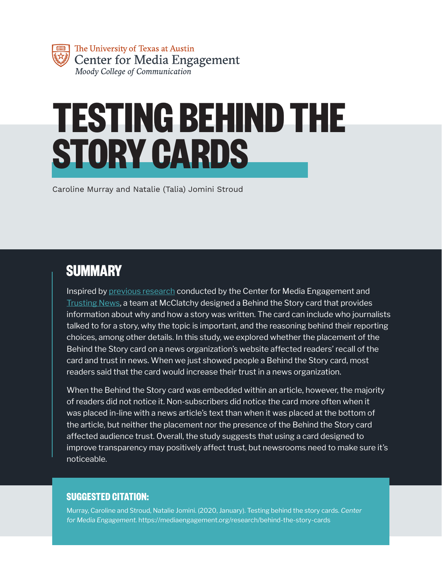# **TESTING BEHIND THE STORY CARDS**

Caroline Murray and Natalie (Talia) Jomini Stroud

### **SUMMARY**

Inspired by [previous research](https://mediaengagement.org/research/building-trust/) conducted by the Center for Media Engagement and [Trusting News](https://trustingnews.org/), a team at McClatchy designed a Behind the Story card that provides information about why and how a story was written. The card can include who journalists talked to for a story, why the topic is important, and the reasoning behind their reporting choices, among other details. In this study, we explored whether the placement of the Behind the Story card on a news organization's website affected readers' recall of the card and trust in news. When we just showed people a Behind the Story card, most readers said that the card would increase their trust in a news organization.

When the Behind the Story card was embedded within an article, however, the majority of readers did not notice it. Non-subscribers did notice the card more often when it was placed in-line with a news article's text than when it was placed at the bottom of the article, but neither the placement nor the presence of the Behind the Story card affected audience trust. Overall, the study suggests that using a card designed to improve transparency may positively affect trust, but newsrooms need to make sure it's noticeable.

### **SUGGESTED CITATION:**

Murray, Caroline and Stroud, Natalie Jomini. (2020, January). Testing behind the story cards. *Center for Media Engagement.* https://mediaengagement.org/research/behind-the-story-cards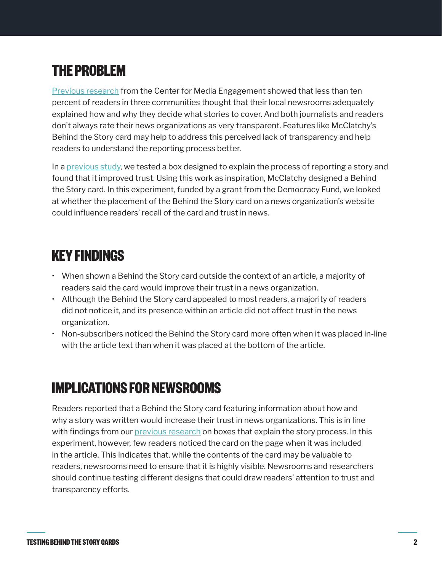## **THE PROBLEM**

**[Previous research](https://mediaengagement.org/research/public-sources-and-journalists/) from the Center for Media Engagement showed that less than ten** percent of readers in three communities thought that their local newsrooms adequately explained how and why they decide what stories to cover. And both journalists and readers don't always rate their news organizations as very transparent. Features like McClatchy's Behind the Story card may help to address this perceived lack of transparency and help readers to understand the reporting process better.

In a [previous study,](https://mediaengagement.org/research/building-trust/) we tested a box designed to explain the process of reporting a story and found that it improved trust. Using this work as inspiration, McClatchy designed a Behind the Story card. In this experiment, funded by a grant from the Democracy Fund, we looked at whether the placement of the Behind the Story card on a news organization's website could influence readers' recall of the card and trust in news.

### **KEY FINDINGS**

- When shown a Behind the Story card outside the context of an article, a majority of readers said the card would improve their trust in a news organization.
- Although the Behind the Story card appealed to most readers, a majority of readers did not notice it, and its presence within an article did not affect trust in the news organization.
- Non-subscribers noticed the Behind the Story card more often when it was placed in-line with the article text than when it was placed at the bottom of the article.

### **IMPLICATIONS FOR NEWSROOMS**

Readers reported that a Behind the Story card featuring information about how and why a story was written would increase their trust in news organizations. This is in line with findings from our *[previous research](https://mediaengagement.org/research/building-trust/)* on boxes that explain the story process. In this experiment, however, few readers noticed the card on the page when it was included in the article. This indicates that, while the contents of the card may be valuable to readers, newsrooms need to ensure that it is highly visible. Newsrooms and researchers should continue testing different designs that could draw readers' attention to trust and transparency efforts.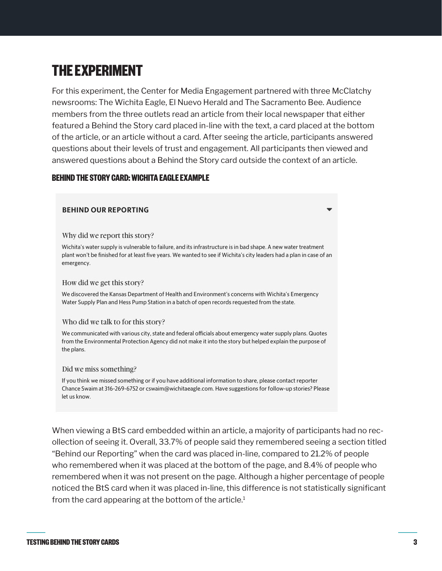### **THE EXPERIMENT**

For this experiment, the Center for Media Engagement partnered with three McClatchy newsrooms: The Wichita Eagle, El Nuevo Herald and The Sacramento Bee. Audience members from the three outlets read an article from their local newspaper that either featured a Behind the Story card placed in-line with the text, a card placed at the bottom of the article, or an article without a card. After seeing the article, participants answered questions about their levels of trust and engagement. All participants then viewed and answered questions about a Behind the Story card outside the context of an article.

#### **BEHIND THE STORY CARD: WICHITA EAGLE EXAMPLE**

#### **BEHIND OUR REPORTING**

Why did we report this story?

Wichita's water supply is vulnerable to failure, and its infrastructure is in bad shape. A new water treatment plant won't be finished for at least five years. We wanted to see if Wichita's city leaders had a plan in case of an emergency.

#### How did we get this story?

We discovered the Kansas Department of Health and Environment's concerns with Wichita's Emergency Water Supply Plan and Hess Pump Station in a batch of open records requested from the state.

#### Who did we talk to for this story?

We communicated with various city, state and federal officials about emergency water supply plans. Quotes from the Environmental Protection Agency did not make it into the story but helped explain the purpose of the plans.

#### Did we miss something?

If you think we missed something or if you have additional information to share, please contact reporter Chance Swaim at 316-269-6752 or cswaim@wichitaeagle.com. Have suggestions for follow-up stories? Please let us know.

When viewing a BtS card embedded within an article, a majority of participants had no recollection of seeing it. Overall, 33.7% of people said they remembered seeing a section titled "Behind our Reporting" when the card was placed in-line, compared to 21.2% of people who remembered when it was placed at the bottom of the page, and 8.4% of people who remembered when it was not present on the page. Although a higher percentage of people noticed the BtS card when it was placed in-line, this difference is not statistically significant from the card appearing at the bottom of the article.<sup>1</sup>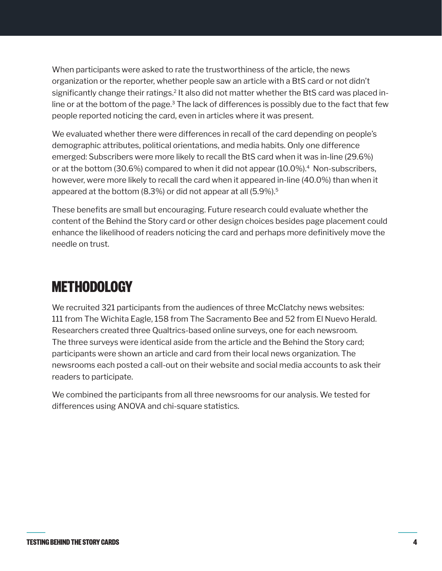When participants were asked to rate the trustworthiness of the article, the news organization or the reporter, whether people saw an article with a BtS card or not didn't significantly change their ratings.<sup>2</sup> It also did not matter whether the BtS card was placed inline or at the bottom of the page.<sup>3</sup> The lack of differences is possibly due to the fact that few people reported noticing the card, even in articles where it was present.

We evaluated whether there were differences in recall of the card depending on people's demographic attributes, political orientations, and media habits. Only one difference emerged: Subscribers were more likely to recall the BtS card when it was in-line (29.6%) or at the bottom (30.6%) compared to when it did not appear (10.0%).4 Non-subscribers, however, were more likely to recall the card when it appeared in-line (40.0%) than when it appeared at the bottom (8.3%) or did not appear at all (5.9%).5

These benefits are small but encouraging. Future research could evaluate whether the content of the Behind the Story card or other design choices besides page placement could enhance the likelihood of readers noticing the card and perhaps more definitively move the needle on trust.

### **METHODOLOGY**

We recruited 321 participants from the audiences of three McClatchy news websites: 111 from The Wichita Eagle, 158 from The Sacramento Bee and 52 from El Nuevo Herald. Researchers created three Qualtrics-based online surveys, one for each newsroom. The three surveys were identical aside from the article and the Behind the Story card; participants were shown an article and card from their local news organization. The newsrooms each posted a call-out on their website and social media accounts to ask their readers to participate.

We combined the participants from all three newsrooms for our analysis. We tested for differences using ANOVA and chi-square statistics.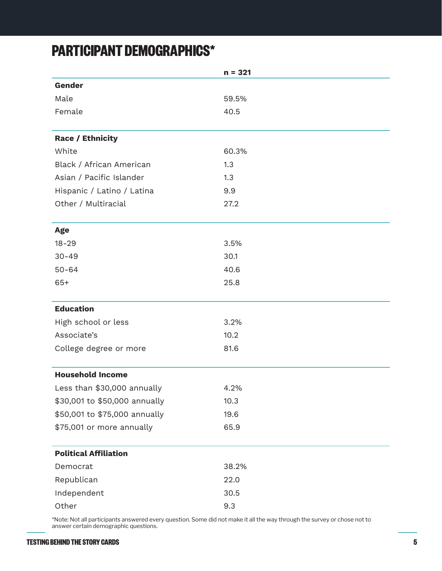### **PARTICIPANT DEMOGRAPHICS\***

|                               | $n = 321$ |
|-------------------------------|-----------|
| Gender                        |           |
| Male                          | 59.5%     |
| Female                        | 40.5      |
|                               |           |
| <b>Race / Ethnicity</b>       |           |
| White                         | 60.3%     |
| Black / African American      | 1.3       |
| Asian / Pacific Islander      | 1.3       |
| Hispanic / Latino / Latina    | 9.9       |
| Other / Multiracial           | 27.2      |
|                               |           |
| <b>Age</b>                    |           |
| $18 - 29$                     | 3.5%      |
| $30 - 49$                     | 30.1      |
| $50 - 64$                     | 40.6      |
| $65+$                         | 25.8      |
|                               |           |
| <b>Education</b>              |           |
| High school or less           | 3.2%      |
| Associate's                   | 10.2      |
| College degree or more        | 81.6      |
|                               |           |
| <b>Household Income</b>       |           |
| Less than \$30,000 annually   | 4.2%      |
| \$30,001 to \$50,000 annually | 10.3      |
| \$50,001 to \$75,000 annually | 19.6      |
| \$75,001 or more annually     | 65.9      |
| <b>Political Affiliation</b>  |           |
| Democrat                      | 38.2%     |
| Republican                    | 22.0      |
| Independent                   | 30.5      |
| Other                         | 9.3       |

\*Note: Not all participants answered every question. Some did not make it all the way through the survey or chose not to answer certain demographic questions.